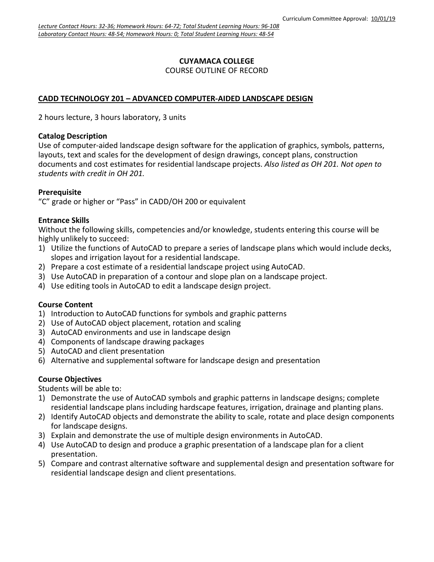#### **CUYAMACA COLLEGE** COURSE OUTLINE OF RECORD

### **CADD TECHNOLOGY 201 – ADVANCED COMPUTER-AIDED LANDSCAPE DESIGN**

2 hours lecture, 3 hours laboratory, 3 units

#### **Catalog Description**

Use of computer-aided landscape design software for the application of graphics, symbols, patterns, layouts, text and scales for the development of design drawings, concept plans, construction documents and cost estimates for residential landscape projects. *Also listed as OH 201. Not open to students with credit in OH 201.*

#### **Prerequisite**

"C" grade or higher or "Pass" in CADD/OH 200 or equivalent

#### **Entrance Skills**

Without the following skills, competencies and/or knowledge, students entering this course will be highly unlikely to succeed:

- 1) Utilize the functions of AutoCAD to prepare a series of landscape plans which would include decks, slopes and irrigation layout for a residential landscape.
- 2) Prepare a cost estimate of a residential landscape project using AutoCAD.
- 3) Use AutoCAD in preparation of a contour and slope plan on a landscape project.
- 4) Use editing tools in AutoCAD to edit a landscape design project.

#### **Course Content**

- 1) Introduction to AutoCAD functions for symbols and graphic patterns
- 2) Use of AutoCAD object placement, rotation and scaling
- 3) AutoCAD environments and use in landscape design
- 4) Components of landscape drawing packages
- 5) AutoCAD and client presentation
- 6) Alternative and supplemental software for landscape design and presentation

### **Course Objectives**

Students will be able to:

- 1) Demonstrate the use of AutoCAD symbols and graphic patterns in landscape designs; complete residential landscape plans including hardscape features, irrigation, drainage and planting plans.
- 2) Identify AutoCAD objects and demonstrate the ability to scale, rotate and place design components for landscape designs.
- 3) Explain and demonstrate the use of multiple design environments in AutoCAD.
- 4) Use AutoCAD to design and produce a graphic presentation of a landscape plan for a client presentation.
- 5) Compare and contrast alternative software and supplemental design and presentation software for residential landscape design and client presentations.